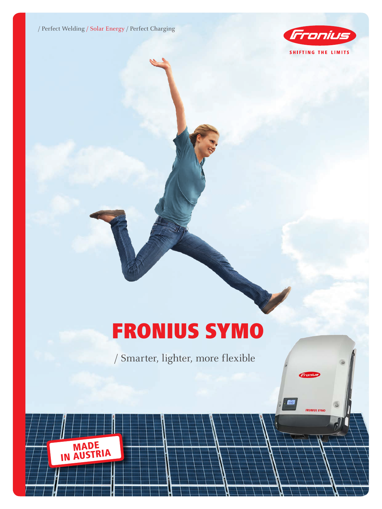/ Perfect Welding / Solar Energy / Perfect Charging



**Also** 

**FRONIUS SYMO** 

# FRONIUS SYMO

/ Smarter, lighter, more flexible

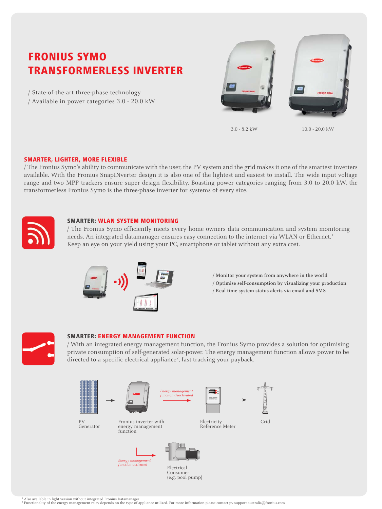# FRONIUS SYMO TRANSFORMERLESS INVERTER

/ State-of-the-art three-phase technology / Available in power categories 3.0 - 20.0 kW



3.0 - 8.2 kW 10.0 - 20.0 kW

## SMARTER, LIGHTER, MORE FLEXIBLE

/ The Fronius Symo's ability to communicate with the user, the PV system and the grid makes it one of the smartest inverters available. With the Fronius SnapINverter design it is also one of the lightest and easiest to install. The wide input voltage range and two MPP trackers ensure super design flexibility. Boasting power categories ranging from 3.0 to 20.0 kW, the transformerless Fronius Symo is the three-phase inverter for systems of every size.



#### SMARTER: WLAN SYSTEM MONITORING

/ The Fronius Symo efficiently meets every home owners data communication and system monitoring needs. An integrated datamanager ensures easy connection to the internet via WLAN or Ethernet.<sup>1</sup> Keep an eye on your yield using your PC, smartphone or tablet without any extra cost.



**/ Monitor your system from anywhere in the world / Optimise self-consumption by visualizing your production / Real time system status alerts via email and SMS**



#### SMARTER: ENERGY MANAGEMENT FUNCTION

/ With an integrated energy management function, the Fronius Symo provides a solution for optimising private consumption of self-generated solar-power. The energy management function allows power to be directed to a specific electrical appliance<sup>2</sup>, fast-tracking your payback.



<sup>1</sup> Also available in light version without integrated Fronius Datamanager<br><sup>2</sup> Functionality of the energy management relay depends on the type of appliance utilized. For more information please contact pv-support-australi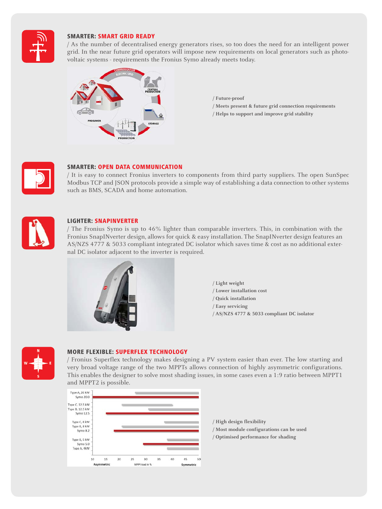

# SMARTER: SMART GRID READY

/ As the number of decentralised energy generators rises, so too does the need for an intelligent power grid. In the near future grid operators will impose new requirements on local generators such as photovoltaic systems - requirements the Fronius Symo already meets today.



**/ Future-proof**

- **/ Meets present & future grid connection requirements**
- **/ Helps to support and improve grid stability**



# SMARTER: OPEN DATA COMMUNICATION

/ It is easy to connect Fronius inverters to components from third party suppliers. The open SunSpec Modbus TCP and JSON protocols provide a simple way of establishing a data connection to other systems such as BMS, SCADA and home automation.



# LIGHTER: SNAPINVERTER

/ The Fronius Symo is up to 46% lighter than comparable inverters. This, in combination with the Fronius SnapINverter design, allows for quick & easy installation. The SnapINverter design features an AS/NZS 4777 & 5033 compliant integrated DC isolator which saves time & cost as no additional external DC isolator adjacent to the inverter is required.



**/ Light weight / Lower installation cost / Quick installation / Easy servicing / AS/NZS 4777 & 5033 compliant DC isolator**



## MORE FLEXIBLE: SUPERFLEX TECHNOLOGY

/ Fronius Superflex technology makes designing a PV system easier than ever. The low starting and very broad voltage range of the two MPPTs allows connection of highly asymmetric configurations. This enables the designer to solve most shading issues, in some cases even a 1:9 ratio between MPPT1 and MPPT2 is possible.



**/ High design flexibility / Most module configurations can be used / Optimised performance for shading**